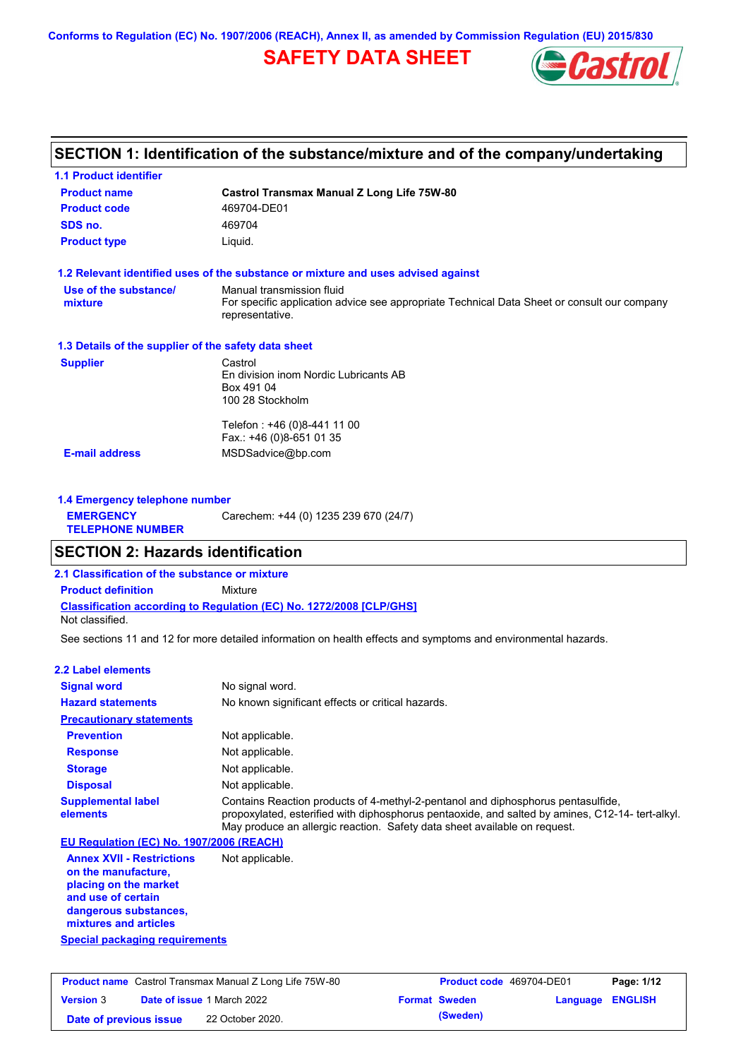**Conforms to Regulation (EC) No. 1907/2006 (REACH), Annex II, as amended by Commission Regulation (EU) 2015/830**

## **SAFETY DATA SHEET**



## **SECTION 1: Identification of the substance/mixture and of the company/undertaking**

| <b>1.1 Product identifier</b>                        |                                                                                                                                             |  |
|------------------------------------------------------|---------------------------------------------------------------------------------------------------------------------------------------------|--|
| <b>Product name</b>                                  | <b>Castrol Transmax Manual Z Long Life 75W-80</b>                                                                                           |  |
| <b>Product code</b>                                  | 469704-DE01                                                                                                                                 |  |
| SDS no.                                              | 469704                                                                                                                                      |  |
| <b>Product type</b>                                  | Liquid.                                                                                                                                     |  |
|                                                      | 1.2 Relevant identified uses of the substance or mixture and uses advised against                                                           |  |
| Use of the substance/<br>mixture                     | Manual transmission fluid<br>For specific application advice see appropriate Technical Data Sheet or consult our company<br>representative. |  |
| 1.3 Details of the supplier of the safety data sheet |                                                                                                                                             |  |
| <b>Supplier</b>                                      | Castrol<br>En division inom Nordic Lubricants AB<br>Box 491 04<br>100 28 Stockholm                                                          |  |
|                                                      | Telefon: +46 (0)8-441 11 00<br>Fax.: +46 (0)8-651 01 35                                                                                     |  |
| <b>E-mail address</b>                                | MSDSadvice@bp.com                                                                                                                           |  |
| 1.4 Emergency telephone number                       |                                                                                                                                             |  |
| <b>EMERGENCY</b><br><b>TELEPHONE NUMBER</b>          | Carechem: +44 (0) 1235 239 670 (24/7)                                                                                                       |  |
| <b>SECTION 2: Hazards identification</b>             |                                                                                                                                             |  |
| 2.1 Classification of the substance or mixture       |                                                                                                                                             |  |
| <b>Product definition</b>                            | Mixture                                                                                                                                     |  |
| Not classified.                                      | Classification according to Regulation (EC) No. 1272/2008 [CLP/GHS]                                                                         |  |
|                                                      | See sections 11 and 12 for more detailed information on health effects and symptoms and environmental hazards.                              |  |
| 2.2 Label elements                                   |                                                                                                                                             |  |
| <b>Signal word</b>                                   | No signal word.                                                                                                                             |  |
| <b>Hazard statements</b>                             | No known significant effects or critical hazards.                                                                                           |  |
| <b>Precautionary statements</b>                      |                                                                                                                                             |  |
| <b>Prevention</b>                                    | Not applicable.                                                                                                                             |  |
| <b>Response</b>                                      | Not applicable.                                                                                                                             |  |

**Storage Disposal** Not applicable. Not applicable. **Supplemental label elements**

Contains Reaction products of 4-methyl-2-pentanol and diphosphorus pentasulfide, propoxylated, esterified with diphosphorus pentaoxide, and salted by amines, C12-14- tert-alkyl. May produce an allergic reaction. Safety data sheet available on request.

#### **EU Regulation (EC) No. 1907/2006 (REACH)**

**Special packaging requirements Annex XVII - Restrictions on the manufacture, placing on the market and use of certain dangerous substances, mixtures and articles** Not applicable.

**Product name** Castrol Transmax Manual Z Long Life 75W-80 **Product code** 469704-DE01 **Page: 1/12 Version** 3 **Date of issue** 1 March 2022 **Format Sweden Language ENGLISH Date of previous issue (Sweden)** 22 October 2020.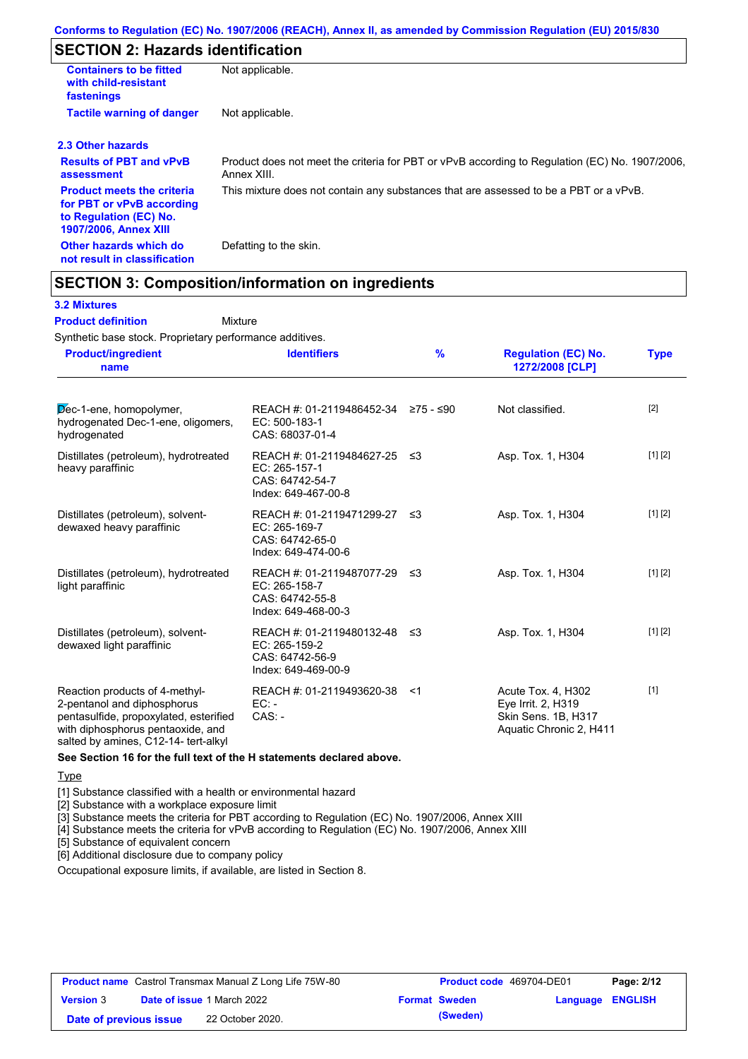## **SECTION 2: Hazards identification**

| <b>Containers to be fitted</b><br>with child-resistant<br>fastenings                                                     | Not applicable.                                                                                               |
|--------------------------------------------------------------------------------------------------------------------------|---------------------------------------------------------------------------------------------------------------|
| <b>Tactile warning of danger</b>                                                                                         | Not applicable.                                                                                               |
| 2.3 Other hazards                                                                                                        |                                                                                                               |
| <b>Results of PBT and vPvB</b><br>assessment                                                                             | Product does not meet the criteria for PBT or vPvB according to Regulation (EC) No. 1907/2006,<br>Annex XIII. |
| <b>Product meets the criteria</b><br>for PBT or vPvB according<br>to Regulation (EC) No.<br><b>1907/2006, Annex XIII</b> | This mixture does not contain any substances that are assessed to be a PBT or a vPvB.                         |
| Other hazards which do<br>not result in classification                                                                   | Defatting to the skin.                                                                                        |

### **SECTION 3: Composition/information on ingredients**

Mixture

#### **3.2 Mixtures**

#### **Product definition**

Synthetic base stock. Proprietary performance additives.

| <b>Product/ingredient</b><br>name                                                                                                                                                    | <b>Identifiers</b>                                                                      | %   | <b>Regulation (EC) No.</b><br>1272/2008 [CLP]                                              | <b>Type</b> |
|--------------------------------------------------------------------------------------------------------------------------------------------------------------------------------------|-----------------------------------------------------------------------------------------|-----|--------------------------------------------------------------------------------------------|-------------|
| Dec-1-ene, homopolymer,<br>hydrogenated Dec-1-ene, oligomers,<br>hydrogenated                                                                                                        | REACH #: 01-2119486452-34 ≥75 - ≤90<br>EC: 500-183-1<br>CAS: 68037-01-4                 |     | Not classified.                                                                            | $[2]$       |
| Distillates (petroleum), hydrotreated<br>heavy paraffinic                                                                                                                            | REACH #: 01-2119484627-25 ≤3<br>EC: 265-157-1<br>CAS: 64742-54-7<br>Index: 649-467-00-8 |     | Asp. Tox. 1, H304                                                                          | [1] [2]     |
| Distillates (petroleum), solvent-<br>dewaxed heavy paraffinic                                                                                                                        | REACH #: 01-2119471299-27<br>EC: 265-169-7<br>CAS: 64742-65-0<br>Index: 649-474-00-6    | -≤3 | Asp. Tox. 1, H304                                                                          | [1] [2]     |
| Distillates (petroleum), hydrotreated<br>light paraffinic                                                                                                                            | REACH #: 01-2119487077-29 ≤3<br>EC: 265-158-7<br>CAS: 64742-55-8<br>Index: 649-468-00-3 |     | Asp. Tox. 1, H304                                                                          | [1] [2]     |
| Distillates (petroleum), solvent-<br>dewaxed light paraffinic                                                                                                                        | REACH #: 01-2119480132-48 ≤3<br>EC: 265-159-2<br>CAS: 64742-56-9<br>Index: 649-469-00-9 |     | Asp. Tox. 1, H304                                                                          | [1] [2]     |
| Reaction products of 4-methyl-<br>2-pentanol and diphosphorus<br>pentasulfide, propoxylated, esterified<br>with diphosphorus pentaoxide, and<br>salted by amines, C12-14- tert-alkyl | REACH #: 01-2119493620-38<br>$EC: -$<br>$CAS. -$                                        | -≺1 | Acute Tox. 4, H302<br>Eye Irrit. 2, H319<br>Skin Sens. 1B, H317<br>Aquatic Chronic 2, H411 | $[1]$       |

#### **See Section 16 for the full text of the H statements declared above.**

**Type** 

[1] Substance classified with a health or environmental hazard

[2] Substance with a workplace exposure limit

[3] Substance meets the criteria for PBT according to Regulation (EC) No. 1907/2006, Annex XIII

[4] Substance meets the criteria for vPvB according to Regulation (EC) No. 1907/2006, Annex XIII

[5] Substance of equivalent concern

[6] Additional disclosure due to company policy

Occupational exposure limits, if available, are listed in Section 8.

| <b>Product name</b> Castrol Transmax Manual Z Long Life 75W-80 |  | <b>Product code</b> 469704-DE01   |  | Page: 2/12           |                         |  |
|----------------------------------------------------------------|--|-----------------------------------|--|----------------------|-------------------------|--|
| <b>Version 3</b>                                               |  | <b>Date of issue 1 March 2022</b> |  | <b>Format Sweden</b> | <b>Language ENGLISH</b> |  |
| Date of previous issue                                         |  | 22 October 2020.                  |  | (Sweden)             |                         |  |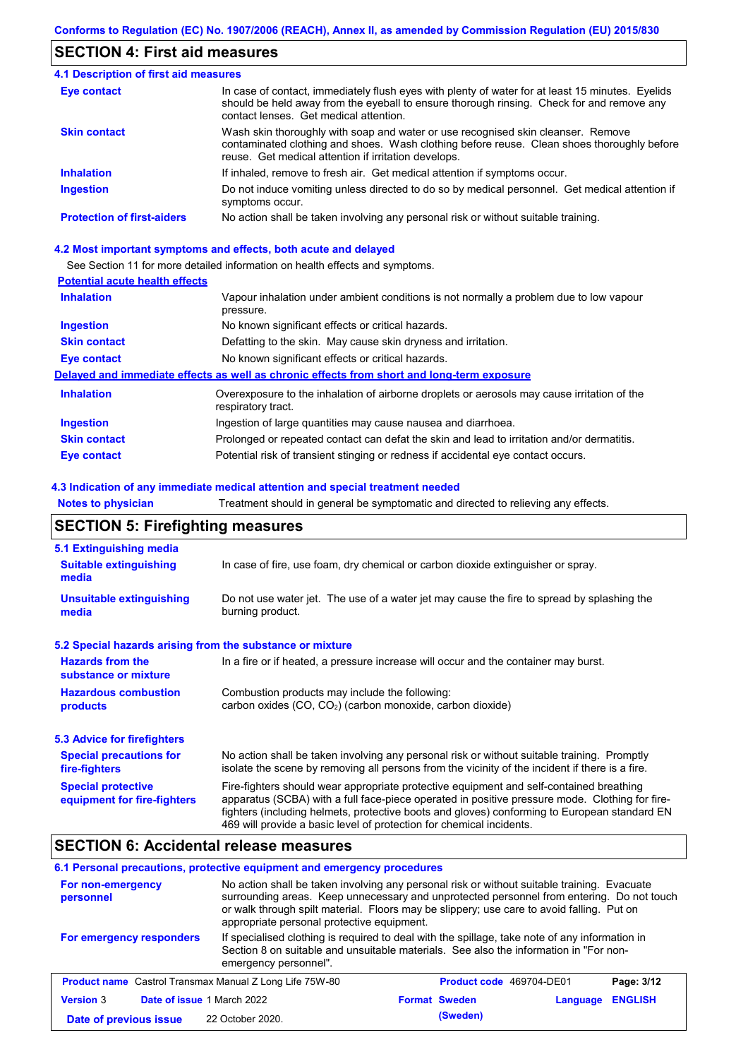## **SECTION 4: First aid measures**

| <b>4.1 Description of first aid measures</b> |                                                                                                                                                                                                                                         |
|----------------------------------------------|-----------------------------------------------------------------------------------------------------------------------------------------------------------------------------------------------------------------------------------------|
| Eye contact                                  | In case of contact, immediately flush eyes with plenty of water for at least 15 minutes. Eyelids<br>should be held away from the eyeball to ensure thorough rinsing. Check for and remove any<br>contact lenses. Get medical attention. |
| <b>Skin contact</b>                          | Wash skin thoroughly with soap and water or use recognised skin cleanser. Remove<br>contaminated clothing and shoes. Wash clothing before reuse. Clean shoes thoroughly before<br>reuse. Get medical attention if irritation develops.  |
| <b>Inhalation</b>                            | If inhaled, remove to fresh air. Get medical attention if symptoms occur.                                                                                                                                                               |
| <b>Ingestion</b>                             | Do not induce vomiting unless directed to do so by medical personnel. Get medical attention if<br>symptoms occur.                                                                                                                       |
| <b>Protection of first-aiders</b>            | No action shall be taken involving any personal risk or without suitable training.                                                                                                                                                      |

#### **4.2 Most important symptoms and effects, both acute and delayed**

See Section 11 for more detailed information on health effects and symptoms.

### **Potential acute health effects**

| <b>Inhalation</b>   | Vapour inhalation under ambient conditions is not normally a problem due to low vapour<br>pressure.               |
|---------------------|-------------------------------------------------------------------------------------------------------------------|
| <b>Ingestion</b>    | No known significant effects or critical hazards.                                                                 |
| <b>Skin contact</b> | Defatting to the skin. May cause skin dryness and irritation.                                                     |
| Eye contact         | No known significant effects or critical hazards.                                                                 |
|                     | Delayed and immediate effects as well as chronic effects from short and long-term exposure                        |
| <b>Inhalation</b>   | Overexposure to the inhalation of airborne droplets or aerosols may cause irritation of the<br>respiratory tract. |
| <b>Ingestion</b>    | Ingestion of large quantities may cause nausea and diarrhoea.                                                     |
| <b>Skin contact</b> | Prolonged or repeated contact can defat the skin and lead to irritation and/or dermatitis.                        |
| Eye contact         | Potential risk of transient stinging or redness if accidental eye contact occurs.                                 |

#### **4.3 Indication of any immediate medical attention and special treatment needed**

**Notes to physician** Treatment should in general be symptomatic and directed to relieving any effects.

## **SECTION 5: Firefighting measures**

| 5.1 Extinguishing media                                                                                                                                                                                                                           |                                                                                                                                                                                                                                                                                                                                                                   |
|---------------------------------------------------------------------------------------------------------------------------------------------------------------------------------------------------------------------------------------------------|-------------------------------------------------------------------------------------------------------------------------------------------------------------------------------------------------------------------------------------------------------------------------------------------------------------------------------------------------------------------|
| <b>Suitable extinguishing</b><br>media                                                                                                                                                                                                            | In case of fire, use foam, dry chemical or carbon dioxide extinguisher or spray.                                                                                                                                                                                                                                                                                  |
| <b>Unsuitable extinguishing</b><br>media                                                                                                                                                                                                          | Do not use water jet. The use of a water jet may cause the fire to spread by splashing the<br>burning product.                                                                                                                                                                                                                                                    |
| 5.2 Special hazards arising from the substance or mixture                                                                                                                                                                                         |                                                                                                                                                                                                                                                                                                                                                                   |
| <b>Hazards from the</b><br>substance or mixture                                                                                                                                                                                                   | In a fire or if heated, a pressure increase will occur and the container may burst.                                                                                                                                                                                                                                                                               |
| <b>Hazardous combustion</b><br>products                                                                                                                                                                                                           | Combustion products may include the following:<br>carbon oxides $(CO, CO2)$ (carbon monoxide, carbon dioxide)                                                                                                                                                                                                                                                     |
| 5.3 Advice for firefighters                                                                                                                                                                                                                       |                                                                                                                                                                                                                                                                                                                                                                   |
| No action shall be taken involving any personal risk or without suitable training. Promptly<br><b>Special precautions for</b><br>isolate the scene by removing all persons from the vicinity of the incident if there is a fire.<br>fire-fighters |                                                                                                                                                                                                                                                                                                                                                                   |
| <b>Special protective</b><br>equipment for fire-fighters                                                                                                                                                                                          | Fire-fighters should wear appropriate protective equipment and self-contained breathing<br>apparatus (SCBA) with a full face-piece operated in positive pressure mode. Clothing for fire-<br>fighters (including helmets, protective boots and gloves) conforming to European standard EN<br>469 will provide a basic level of protection for chemical incidents. |

## **SECTION 6: Accidental release measures**

### **6.1 Personal precautions, protective equipment and emergency procedures**

| For non-emergency<br>personnel                                 | No action shall be taken involving any personal risk or without suitable training. Evacuate<br>surrounding areas. Keep unnecessary and unprotected personnel from entering. Do not touch<br>or walk through spilt material. Floors may be slippery; use care to avoid falling. Put on<br>appropriate personal protective equipment. |                                 |          |                |
|----------------------------------------------------------------|-------------------------------------------------------------------------------------------------------------------------------------------------------------------------------------------------------------------------------------------------------------------------------------------------------------------------------------|---------------------------------|----------|----------------|
| For emergency responders                                       | If specialised clothing is required to deal with the spillage, take note of any information in<br>Section 8 on suitable and unsuitable materials. See also the information in "For non-<br>emergency personnel".                                                                                                                    |                                 |          |                |
| <b>Product name</b> Castrol Transmax Manual Z Long Life 75W-80 |                                                                                                                                                                                                                                                                                                                                     | <b>Product code</b> 469704-DE01 |          | Page: 3/12     |
| <b>Version 3</b><br>Date of issue 1 March 2022                 |                                                                                                                                                                                                                                                                                                                                     | <b>Format Sweden</b>            | Language | <b>ENGLISH</b> |
| Date of previous issue                                         | 22 October 2020.                                                                                                                                                                                                                                                                                                                    | (Sweden)                        |          |                |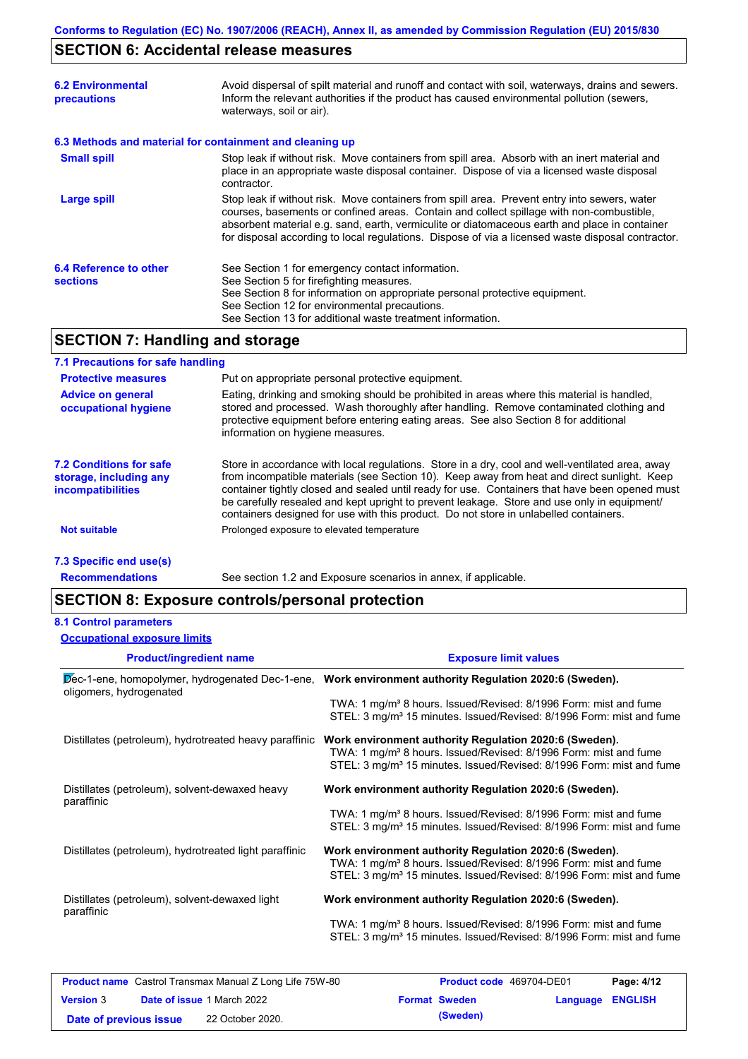## **SECTION 6: Accidental release measures**

| <b>6.2 Environmental</b><br>precautions   | Avoid dispersal of spilt material and runoff and contact with soil, waterways, drains and sewers.<br>Inform the relevant authorities if the product has caused environmental pollution (sewers,<br>waterways, soil or air).                                                                                                                                                                    |
|-------------------------------------------|------------------------------------------------------------------------------------------------------------------------------------------------------------------------------------------------------------------------------------------------------------------------------------------------------------------------------------------------------------------------------------------------|
|                                           | 6.3 Methods and material for containment and cleaning up                                                                                                                                                                                                                                                                                                                                       |
| <b>Small spill</b>                        | Stop leak if without risk. Move containers from spill area. Absorb with an inert material and<br>place in an appropriate waste disposal container. Dispose of via a licensed waste disposal<br>contractor.                                                                                                                                                                                     |
| Large spill                               | Stop leak if without risk. Move containers from spill area. Prevent entry into sewers, water<br>courses, basements or confined areas. Contain and collect spillage with non-combustible,<br>absorbent material e.g. sand, earth, vermiculite or diatomaceous earth and place in container<br>for disposal according to local regulations. Dispose of via a licensed waste disposal contractor. |
| 6.4 Reference to other<br><b>sections</b> | See Section 1 for emergency contact information.<br>See Section 5 for firefighting measures.<br>See Section 8 for information on appropriate personal protective equipment.<br>See Section 12 for environmental precautions.<br>See Section 13 for additional waste treatment information.                                                                                                     |
| <b>SECTION 7: Handling and storage</b>    |                                                                                                                                                                                                                                                                                                                                                                                                |

### **7.1 Precautions for safe handling**

| <b>Protective measures</b>                                                    | Put on appropriate personal protective equipment.                                                                                                                                                                                                                                                                                                                                                                                                                                        |
|-------------------------------------------------------------------------------|------------------------------------------------------------------------------------------------------------------------------------------------------------------------------------------------------------------------------------------------------------------------------------------------------------------------------------------------------------------------------------------------------------------------------------------------------------------------------------------|
| <b>Advice on general</b><br>occupational hygiene                              | Eating, drinking and smoking should be prohibited in areas where this material is handled,<br>stored and processed. Wash thoroughly after handling. Remove contaminated clothing and<br>protective equipment before entering eating areas. See also Section 8 for additional<br>information on hygiene measures.                                                                                                                                                                         |
| <b>7.2 Conditions for safe</b><br>storage, including any<br>incompatibilities | Store in accordance with local regulations. Store in a dry, cool and well-ventilated area, away<br>from incompatible materials (see Section 10). Keep away from heat and direct sunlight. Keep<br>container tightly closed and sealed until ready for use. Containers that have been opened must<br>be carefully resealed and kept upright to prevent leakage. Store and use only in equipment/<br>containers designed for use with this product. Do not store in unlabelled containers. |
| <b>Not suitable</b>                                                           | Prolonged exposure to elevated temperature                                                                                                                                                                                                                                                                                                                                                                                                                                               |
| 7.3 Specific end use(s)                                                       |                                                                                                                                                                                                                                                                                                                                                                                                                                                                                          |

See section 1.2 and Exposure scenarios in annex, if applicable.

**Recommendations**

**SECTION 8: Exposure controls/personal protection**

### **8.1 Control parameters**

|  | <b>Occupational exposure limits</b> |  |
|--|-------------------------------------|--|

| <b>Product/ingredient name</b>                               | <b>Exposure limit values</b>                                                                                                                                                                                               |
|--------------------------------------------------------------|----------------------------------------------------------------------------------------------------------------------------------------------------------------------------------------------------------------------------|
| oligomers, hydrogenated                                      | Dec-1-ene, homopolymer, hydrogenated Dec-1-ene, Work environment authority Regulation 2020:6 (Sweden).                                                                                                                     |
|                                                              | TWA: 1 mg/m <sup>3</sup> 8 hours. Issued/Revised: 8/1996 Form: mist and fume<br>STEL: 3 mg/m <sup>3</sup> 15 minutes. Issued/Revised: 8/1996 Form: mist and fume                                                           |
| Distillates (petroleum), hydrotreated heavy paraffinic       | Work environment authority Regulation 2020:6 (Sweden).<br>TWA: 1 mg/m <sup>3</sup> 8 hours. Issued/Revised: 8/1996 Form: mist and fume<br>STEL: 3 mg/m <sup>3</sup> 15 minutes. Issued/Revised: 8/1996 Form: mist and fume |
| Distillates (petroleum), solvent-dewaxed heavy<br>paraffinic | Work environment authority Regulation 2020:6 (Sweden).<br>TWA: 1 mg/m <sup>3</sup> 8 hours. Issued/Revised: 8/1996 Form: mist and fume<br>STEL: 3 mg/m <sup>3</sup> 15 minutes. Issued/Revised: 8/1996 Form: mist and fume |
| Distillates (petroleum), hydrotreated light paraffinic       | Work environment authority Regulation 2020:6 (Sweden).<br>TWA: 1 mg/m <sup>3</sup> 8 hours. Issued/Revised: 8/1996 Form: mist and fume<br>STEL: 3 mg/m <sup>3</sup> 15 minutes. Issued/Revised: 8/1996 Form: mist and fume |
| Distillates (petroleum), solvent-dewaxed light<br>paraffinic | Work environment authority Regulation 2020:6 (Sweden).<br>TWA: 1 mg/m <sup>3</sup> 8 hours. Issued/Revised: 8/1996 Form: mist and fume<br>STEL: 3 mg/m <sup>3</sup> 15 minutes. Issued/Revised: 8/1996 Form: mist and fume |

|                        | <b>Product name</b> Castrol Transmax Manual Z Long Life 75W-80 | <b>Product code</b> 469704-DE01 |                         | Page: 4/12 |
|------------------------|----------------------------------------------------------------|---------------------------------|-------------------------|------------|
| <b>Version 3</b>       | <b>Date of issue 1 March 2022</b>                              | <b>Format Sweden</b>            | <b>Language ENGLISH</b> |            |
| Date of previous issue | 22 October 2020.                                               | (Sweden)                        |                         |            |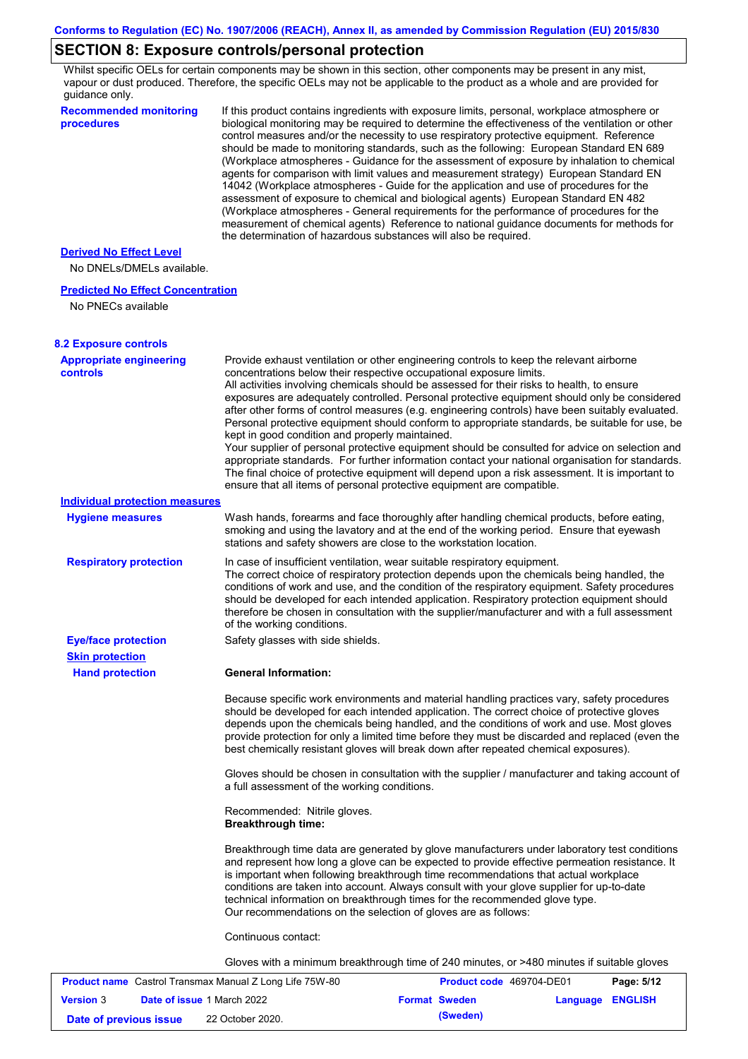## **SECTION 8: Exposure controls/personal protection**

Whilst specific OELs for certain components may be shown in this section, other components may be present in any mist, vapour or dust produced. Therefore, the specific OELs may not be applicable to the product as a whole and are provided for guidance only.

| <b>Recommended monitoring</b><br>procedures          | If this product contains ingredients with exposure limits, personal, workplace atmosphere or<br>biological monitoring may be required to determine the effectiveness of the ventilation or other<br>control measures and/or the necessity to use respiratory protective equipment. Reference<br>should be made to monitoring standards, such as the following: European Standard EN 689<br>(Workplace atmospheres - Guidance for the assessment of exposure by inhalation to chemical<br>agents for comparison with limit values and measurement strategy) European Standard EN<br>14042 (Workplace atmospheres - Guide for the application and use of procedures for the<br>assessment of exposure to chemical and biological agents) European Standard EN 482<br>(Workplace atmospheres - General requirements for the performance of procedures for the<br>measurement of chemical agents) Reference to national guidance documents for methods for<br>the determination of hazardous substances will also be required. |
|------------------------------------------------------|----------------------------------------------------------------------------------------------------------------------------------------------------------------------------------------------------------------------------------------------------------------------------------------------------------------------------------------------------------------------------------------------------------------------------------------------------------------------------------------------------------------------------------------------------------------------------------------------------------------------------------------------------------------------------------------------------------------------------------------------------------------------------------------------------------------------------------------------------------------------------------------------------------------------------------------------------------------------------------------------------------------------------|
| <b>Derived No Effect Level</b>                       |                                                                                                                                                                                                                                                                                                                                                                                                                                                                                                                                                                                                                                                                                                                                                                                                                                                                                                                                                                                                                            |
| No DNELs/DMELs available.                            |                                                                                                                                                                                                                                                                                                                                                                                                                                                                                                                                                                                                                                                                                                                                                                                                                                                                                                                                                                                                                            |
| <b>Predicted No Effect Concentration</b>             |                                                                                                                                                                                                                                                                                                                                                                                                                                                                                                                                                                                                                                                                                                                                                                                                                                                                                                                                                                                                                            |
| No PNECs available                                   |                                                                                                                                                                                                                                                                                                                                                                                                                                                                                                                                                                                                                                                                                                                                                                                                                                                                                                                                                                                                                            |
| <b>8.2 Exposure controls</b>                         |                                                                                                                                                                                                                                                                                                                                                                                                                                                                                                                                                                                                                                                                                                                                                                                                                                                                                                                                                                                                                            |
| <b>Appropriate engineering</b><br><b>controls</b>    | Provide exhaust ventilation or other engineering controls to keep the relevant airborne<br>concentrations below their respective occupational exposure limits.<br>All activities involving chemicals should be assessed for their risks to health, to ensure<br>exposures are adequately controlled. Personal protective equipment should only be considered<br>after other forms of control measures (e.g. engineering controls) have been suitably evaluated.<br>Personal protective equipment should conform to appropriate standards, be suitable for use, be<br>kept in good condition and properly maintained.<br>Your supplier of personal protective equipment should be consulted for advice on selection and<br>appropriate standards. For further information contact your national organisation for standards.<br>The final choice of protective equipment will depend upon a risk assessment. It is important to<br>ensure that all items of personal protective equipment are compatible.                    |
| <b>Individual protection measures</b>                |                                                                                                                                                                                                                                                                                                                                                                                                                                                                                                                                                                                                                                                                                                                                                                                                                                                                                                                                                                                                                            |
| <b>Hygiene measures</b>                              | Wash hands, forearms and face thoroughly after handling chemical products, before eating,<br>smoking and using the lavatory and at the end of the working period. Ensure that eyewash<br>stations and safety showers are close to the workstation location.                                                                                                                                                                                                                                                                                                                                                                                                                                                                                                                                                                                                                                                                                                                                                                |
| <b>Respiratory protection</b>                        | In case of insufficient ventilation, wear suitable respiratory equipment.<br>The correct choice of respiratory protection depends upon the chemicals being handled, the<br>conditions of work and use, and the condition of the respiratory equipment. Safety procedures<br>should be developed for each intended application. Respiratory protection equipment should<br>therefore be chosen in consultation with the supplier/manufacturer and with a full assessment<br>of the working conditions.                                                                                                                                                                                                                                                                                                                                                                                                                                                                                                                      |
| <b>Eye/face protection</b><br><b>Skin protection</b> | Safety glasses with side shields.                                                                                                                                                                                                                                                                                                                                                                                                                                                                                                                                                                                                                                                                                                                                                                                                                                                                                                                                                                                          |
| <b>Hand protection</b>                               | <b>General Information:</b>                                                                                                                                                                                                                                                                                                                                                                                                                                                                                                                                                                                                                                                                                                                                                                                                                                                                                                                                                                                                |
|                                                      | Because specific work environments and material handling practices vary, safety procedures<br>should be developed for each intended application. The correct choice of protective gloves<br>depends upon the chemicals being handled, and the conditions of work and use. Most gloves<br>provide protection for only a limited time before they must be discarded and replaced (even the<br>best chemically resistant gloves will break down after repeated chemical exposures).                                                                                                                                                                                                                                                                                                                                                                                                                                                                                                                                           |
|                                                      | Gloves should be chosen in consultation with the supplier / manufacturer and taking account of<br>a full assessment of the working conditions.                                                                                                                                                                                                                                                                                                                                                                                                                                                                                                                                                                                                                                                                                                                                                                                                                                                                             |
|                                                      | Recommended: Nitrile gloves.<br><b>Breakthrough time:</b>                                                                                                                                                                                                                                                                                                                                                                                                                                                                                                                                                                                                                                                                                                                                                                                                                                                                                                                                                                  |
|                                                      | Breakthrough time data are generated by glove manufacturers under laboratory test conditions<br>and represent how long a glove can be expected to provide effective permeation resistance. It<br>is important when following breakthrough time recommendations that actual workplace<br>conditions are taken into account. Always consult with your glove supplier for up-to-date<br>technical information on breakthrough times for the recommended glove type.<br>Our recommendations on the selection of gloves are as follows:                                                                                                                                                                                                                                                                                                                                                                                                                                                                                         |
|                                                      | Continuous contact:                                                                                                                                                                                                                                                                                                                                                                                                                                                                                                                                                                                                                                                                                                                                                                                                                                                                                                                                                                                                        |
|                                                      | Gloves with a minimum breakthrough time of 240 minutes, or >480 minutes if suitable gloves                                                                                                                                                                                                                                                                                                                                                                                                                                                                                                                                                                                                                                                                                                                                                                                                                                                                                                                                 |
|                                                      |                                                                                                                                                                                                                                                                                                                                                                                                                                                                                                                                                                                                                                                                                                                                                                                                                                                                                                                                                                                                                            |

| <b>Product name</b> Castrol Transmax Manual Z Long Life 75W-80 |  |                                   | <b>Product code</b> 469704-DE01 |                      | Page: 5/12       |  |
|----------------------------------------------------------------|--|-----------------------------------|---------------------------------|----------------------|------------------|--|
| <b>Version 3</b>                                               |  | <b>Date of issue 1 March 2022</b> |                                 | <b>Format Sweden</b> | Language ENGLISH |  |
| Date of previous issue                                         |  | 22 October 2020.                  |                                 | (Sweden)             |                  |  |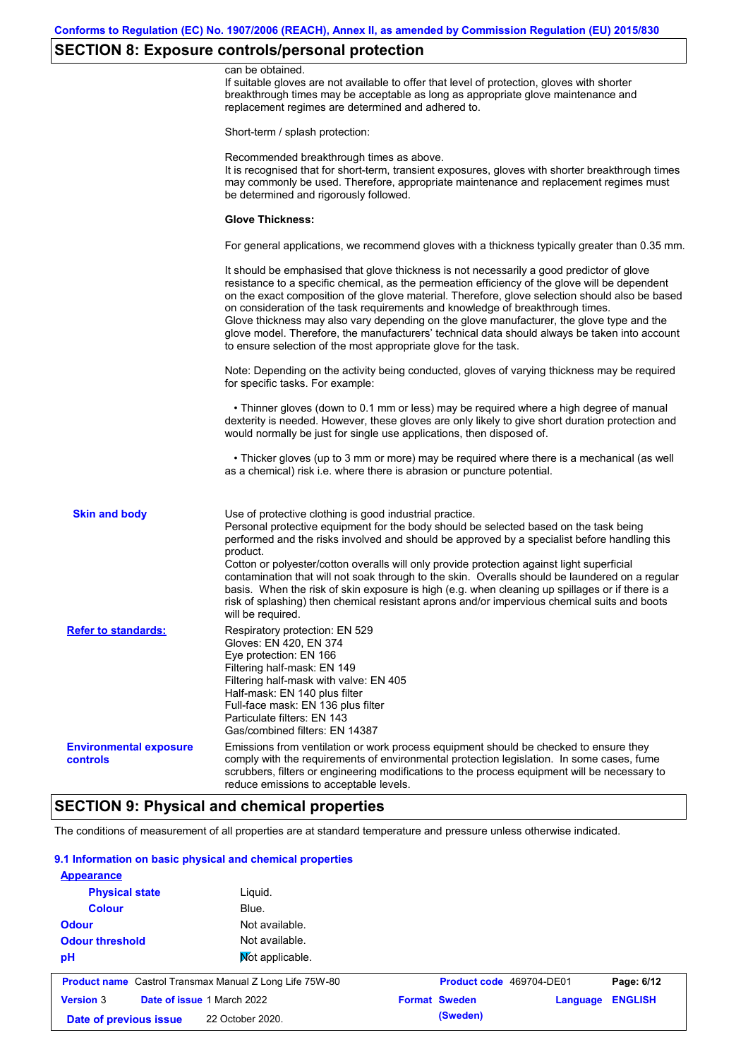## **SECTION 8: Exposure controls/personal protection**

| can be obtained.<br>If suitable gloves are not available to offer that level of protection, gloves with shorter<br>breakthrough times may be acceptable as long as appropriate glove maintenance and<br>replacement regimes are determined and adhered to.<br>Short-term / splash protection:<br>Recommended breakthrough times as above.<br>It is recognised that for short-term, transient exposures, gloves with shorter breakthrough times<br>may commonly be used. Therefore, appropriate maintenance and replacement regimes must<br>be determined and rigorously followed.<br><b>Glove Thickness:</b><br>For general applications, we recommend gloves with a thickness typically greater than 0.35 mm.<br>It should be emphasised that glove thickness is not necessarily a good predictor of glove<br>resistance to a specific chemical, as the permeation efficiency of the glove will be dependent<br>on the exact composition of the glove material. Therefore, glove selection should also be based<br>on consideration of the task requirements and knowledge of breakthrough times.<br>Glove thickness may also vary depending on the glove manufacturer, the glove type and the<br>glove model. Therefore, the manufacturers' technical data should always be taken into account<br>to ensure selection of the most appropriate glove for the task.<br>Note: Depending on the activity being conducted, gloves of varying thickness may be required<br>for specific tasks. For example:<br>• Thinner gloves (down to 0.1 mm or less) may be required where a high degree of manual<br>dexterity is needed. However, these gloves are only likely to give short duration protection and<br>would normally be just for single use applications, then disposed of.<br>• Thicker gloves (up to 3 mm or more) may be required where there is a mechanical (as well<br>as a chemical) risk i.e. where there is abrasion or puncture potential.<br><b>Skin and body</b><br>Use of protective clothing is good industrial practice.<br>Personal protective equipment for the body should be selected based on the task being<br>performed and the risks involved and should be approved by a specialist before handling this<br>product.<br>Cotton or polyester/cotton overalls will only provide protection against light superficial<br>contamination that will not soak through to the skin. Overalls should be laundered on a regular<br>basis. When the risk of skin exposure is high (e.g. when cleaning up spillages or if there is a<br>risk of splashing) then chemical resistant aprons and/or impervious chemical suits and boots<br>will be required.<br><b>Refer to standards:</b><br>Respiratory protection: EN 529<br>Gloves: EN 420, EN 374<br>Eye protection: EN 166<br>Filtering half-mask: EN 149<br>Filtering half-mask with valve: EN 405<br>Half-mask: EN 140 plus filter<br>Full-face mask: EN 136 plus filter<br>Particulate filters: EN 143<br>Gas/combined filters: EN 14387<br>Emissions from ventilation or work process equipment should be checked to ensure they<br><b>Environmental exposure</b><br>comply with the requirements of environmental protection legislation. In some cases, fume<br>controls<br>scrubbers, filters or engineering modifications to the process equipment will be necessary to<br>reduce emissions to acceptable levels. |  |
|----------------------------------------------------------------------------------------------------------------------------------------------------------------------------------------------------------------------------------------------------------------------------------------------------------------------------------------------------------------------------------------------------------------------------------------------------------------------------------------------------------------------------------------------------------------------------------------------------------------------------------------------------------------------------------------------------------------------------------------------------------------------------------------------------------------------------------------------------------------------------------------------------------------------------------------------------------------------------------------------------------------------------------------------------------------------------------------------------------------------------------------------------------------------------------------------------------------------------------------------------------------------------------------------------------------------------------------------------------------------------------------------------------------------------------------------------------------------------------------------------------------------------------------------------------------------------------------------------------------------------------------------------------------------------------------------------------------------------------------------------------------------------------------------------------------------------------------------------------------------------------------------------------------------------------------------------------------------------------------------------------------------------------------------------------------------------------------------------------------------------------------------------------------------------------------------------------------------------------------------------------------------------------------------------------------------------------------------------------------------------------------------------------------------------------------------------------------------------------------------------------------------------------------------------------------------------------------------------------------------------------------------------------------------------------------------------------------------------------------------------------------------------------------------------------------------------------------------------------------------------------------------------------------------------------------------------------------------------------------------------------------------------------------------------------------------------------------------------------------------------------------------------------------------------------------------------------------------------------------------------------------------------------------------------------------------------------------------------------------------------------------------|--|
|                                                                                                                                                                                                                                                                                                                                                                                                                                                                                                                                                                                                                                                                                                                                                                                                                                                                                                                                                                                                                                                                                                                                                                                                                                                                                                                                                                                                                                                                                                                                                                                                                                                                                                                                                                                                                                                                                                                                                                                                                                                                                                                                                                                                                                                                                                                                                                                                                                                                                                                                                                                                                                                                                                                                                                                                                                                                                                                                                                                                                                                                                                                                                                                                                                                                                                                                                                                              |  |
|                                                                                                                                                                                                                                                                                                                                                                                                                                                                                                                                                                                                                                                                                                                                                                                                                                                                                                                                                                                                                                                                                                                                                                                                                                                                                                                                                                                                                                                                                                                                                                                                                                                                                                                                                                                                                                                                                                                                                                                                                                                                                                                                                                                                                                                                                                                                                                                                                                                                                                                                                                                                                                                                                                                                                                                                                                                                                                                                                                                                                                                                                                                                                                                                                                                                                                                                                                                              |  |
|                                                                                                                                                                                                                                                                                                                                                                                                                                                                                                                                                                                                                                                                                                                                                                                                                                                                                                                                                                                                                                                                                                                                                                                                                                                                                                                                                                                                                                                                                                                                                                                                                                                                                                                                                                                                                                                                                                                                                                                                                                                                                                                                                                                                                                                                                                                                                                                                                                                                                                                                                                                                                                                                                                                                                                                                                                                                                                                                                                                                                                                                                                                                                                                                                                                                                                                                                                                              |  |
|                                                                                                                                                                                                                                                                                                                                                                                                                                                                                                                                                                                                                                                                                                                                                                                                                                                                                                                                                                                                                                                                                                                                                                                                                                                                                                                                                                                                                                                                                                                                                                                                                                                                                                                                                                                                                                                                                                                                                                                                                                                                                                                                                                                                                                                                                                                                                                                                                                                                                                                                                                                                                                                                                                                                                                                                                                                                                                                                                                                                                                                                                                                                                                                                                                                                                                                                                                                              |  |
|                                                                                                                                                                                                                                                                                                                                                                                                                                                                                                                                                                                                                                                                                                                                                                                                                                                                                                                                                                                                                                                                                                                                                                                                                                                                                                                                                                                                                                                                                                                                                                                                                                                                                                                                                                                                                                                                                                                                                                                                                                                                                                                                                                                                                                                                                                                                                                                                                                                                                                                                                                                                                                                                                                                                                                                                                                                                                                                                                                                                                                                                                                                                                                                                                                                                                                                                                                                              |  |
|                                                                                                                                                                                                                                                                                                                                                                                                                                                                                                                                                                                                                                                                                                                                                                                                                                                                                                                                                                                                                                                                                                                                                                                                                                                                                                                                                                                                                                                                                                                                                                                                                                                                                                                                                                                                                                                                                                                                                                                                                                                                                                                                                                                                                                                                                                                                                                                                                                                                                                                                                                                                                                                                                                                                                                                                                                                                                                                                                                                                                                                                                                                                                                                                                                                                                                                                                                                              |  |
|                                                                                                                                                                                                                                                                                                                                                                                                                                                                                                                                                                                                                                                                                                                                                                                                                                                                                                                                                                                                                                                                                                                                                                                                                                                                                                                                                                                                                                                                                                                                                                                                                                                                                                                                                                                                                                                                                                                                                                                                                                                                                                                                                                                                                                                                                                                                                                                                                                                                                                                                                                                                                                                                                                                                                                                                                                                                                                                                                                                                                                                                                                                                                                                                                                                                                                                                                                                              |  |
|                                                                                                                                                                                                                                                                                                                                                                                                                                                                                                                                                                                                                                                                                                                                                                                                                                                                                                                                                                                                                                                                                                                                                                                                                                                                                                                                                                                                                                                                                                                                                                                                                                                                                                                                                                                                                                                                                                                                                                                                                                                                                                                                                                                                                                                                                                                                                                                                                                                                                                                                                                                                                                                                                                                                                                                                                                                                                                                                                                                                                                                                                                                                                                                                                                                                                                                                                                                              |  |
|                                                                                                                                                                                                                                                                                                                                                                                                                                                                                                                                                                                                                                                                                                                                                                                                                                                                                                                                                                                                                                                                                                                                                                                                                                                                                                                                                                                                                                                                                                                                                                                                                                                                                                                                                                                                                                                                                                                                                                                                                                                                                                                                                                                                                                                                                                                                                                                                                                                                                                                                                                                                                                                                                                                                                                                                                                                                                                                                                                                                                                                                                                                                                                                                                                                                                                                                                                                              |  |
|                                                                                                                                                                                                                                                                                                                                                                                                                                                                                                                                                                                                                                                                                                                                                                                                                                                                                                                                                                                                                                                                                                                                                                                                                                                                                                                                                                                                                                                                                                                                                                                                                                                                                                                                                                                                                                                                                                                                                                                                                                                                                                                                                                                                                                                                                                                                                                                                                                                                                                                                                                                                                                                                                                                                                                                                                                                                                                                                                                                                                                                                                                                                                                                                                                                                                                                                                                                              |  |
|                                                                                                                                                                                                                                                                                                                                                                                                                                                                                                                                                                                                                                                                                                                                                                                                                                                                                                                                                                                                                                                                                                                                                                                                                                                                                                                                                                                                                                                                                                                                                                                                                                                                                                                                                                                                                                                                                                                                                                                                                                                                                                                                                                                                                                                                                                                                                                                                                                                                                                                                                                                                                                                                                                                                                                                                                                                                                                                                                                                                                                                                                                                                                                                                                                                                                                                                                                                              |  |
|                                                                                                                                                                                                                                                                                                                                                                                                                                                                                                                                                                                                                                                                                                                                                                                                                                                                                                                                                                                                                                                                                                                                                                                                                                                                                                                                                                                                                                                                                                                                                                                                                                                                                                                                                                                                                                                                                                                                                                                                                                                                                                                                                                                                                                                                                                                                                                                                                                                                                                                                                                                                                                                                                                                                                                                                                                                                                                                                                                                                                                                                                                                                                                                                                                                                                                                                                                                              |  |
|                                                                                                                                                                                                                                                                                                                                                                                                                                                                                                                                                                                                                                                                                                                                                                                                                                                                                                                                                                                                                                                                                                                                                                                                                                                                                                                                                                                                                                                                                                                                                                                                                                                                                                                                                                                                                                                                                                                                                                                                                                                                                                                                                                                                                                                                                                                                                                                                                                                                                                                                                                                                                                                                                                                                                                                                                                                                                                                                                                                                                                                                                                                                                                                                                                                                                                                                                                                              |  |

## **SECTION 9: Physical and chemical properties**

The conditions of measurement of all properties are at standard temperature and pressure unless otherwise indicated.

### **9.1 Information on basic physical and chemical properties**

| <b>Physical state</b>                                          | Liguid.         |                          |          |                |
|----------------------------------------------------------------|-----------------|--------------------------|----------|----------------|
| <b>Colour</b>                                                  | Blue.           |                          |          |                |
| <b>Odour</b>                                                   | Not available.  |                          |          |                |
| <b>Odour threshold</b>                                         | Not available.  |                          |          |                |
| pH                                                             | Not applicable. |                          |          |                |
| <b>Product name</b> Castrol Transmax Manual Z Long Life 75W-80 |                 | Product code 469704-DE01 |          | Page: 6/12     |
| <b>Version 3</b><br>Date of issue 1 March 2022                 |                 | <b>Format Sweden</b>     | Language | <b>ENGLISH</b> |
|                                                                |                 | (Sweden)                 |          |                |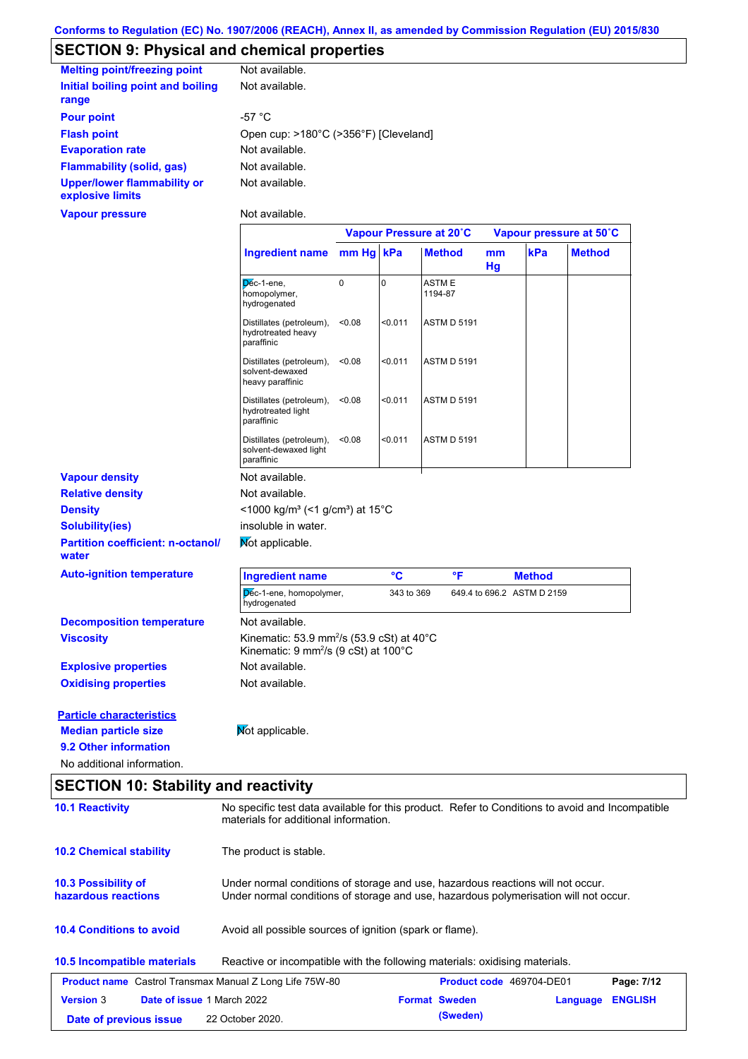# **SECTION 9: Physical and chemical properties**

| <b>Melting point/freezing point</b>                    | Not available.                        |
|--------------------------------------------------------|---------------------------------------|
| Initial boiling point and boiling<br>range             | Not available.                        |
| <b>Pour point</b>                                      | -57 $^{\circ}$ C                      |
| <b>Flash point</b>                                     | Open cup: >180°C (>356°F) [Cleveland] |
| <b>Evaporation rate</b>                                | Not available.                        |
| <b>Flammability (solid, gas)</b>                       | Not available.                        |
| <b>Upper/lower flammability or</b><br>explosive limits | Not available.                        |
| Vapour pressure                                        | Not available.                        |

|                                                   |                                                                                                           | Vapour Pressure at 20°C |             |                         | Vapour pressure at 50°C |                            |               |
|---------------------------------------------------|-----------------------------------------------------------------------------------------------------------|-------------------------|-------------|-------------------------|-------------------------|----------------------------|---------------|
|                                                   | <b>Ingredient name</b>                                                                                    | mm Hg kPa               |             | <b>Method</b>           | mm<br>Hg                | kPa                        | <b>Method</b> |
|                                                   | Dec-1-ene,<br>homopolymer,<br>hydrogenated                                                                | $\mathbf 0$             | $\mathbf 0$ | <b>ASTME</b><br>1194-87 |                         |                            |               |
|                                                   | Distillates (petroleum),<br>hydrotreated heavy<br>paraffinic                                              | < 0.08                  | < 0.011     | <b>ASTM D 5191</b>      |                         |                            |               |
|                                                   | Distillates (petroleum),<br>solvent-dewaxed<br>heavy paraffinic                                           | < 0.08                  | < 0.011     | <b>ASTM D 5191</b>      |                         |                            |               |
|                                                   | Distillates (petroleum),<br>hydrotreated light<br>paraffinic                                              | < 0.08                  | < 0.011     | <b>ASTM D 5191</b>      |                         |                            |               |
|                                                   | Distillates (petroleum),<br>solvent-dewaxed light<br>paraffinic                                           | < 0.08                  | < 0.011     | <b>ASTM D 5191</b>      |                         |                            |               |
| <b>Vapour density</b>                             | Not available.                                                                                            |                         |             |                         |                         |                            |               |
| <b>Relative density</b>                           | Not available.                                                                                            |                         |             |                         |                         |                            |               |
| <b>Density</b>                                    | <1000 kg/m <sup>3</sup> (<1 g/cm <sup>3</sup> ) at 15 <sup>°</sup> C                                      |                         |             |                         |                         |                            |               |
| <b>Solubility(ies)</b>                            | insoluble in water.                                                                                       |                         |             |                         |                         |                            |               |
| <b>Partition coefficient: n-octanol/</b><br>water | Mot applicable.                                                                                           |                         |             |                         |                         |                            |               |
| <b>Auto-ignition temperature</b>                  | <b>Ingredient name</b>                                                                                    |                         | °C          | $\mathsf{P}$            |                         | <b>Method</b>              |               |
|                                                   | Dec-1-ene, homopolymer,<br>hydrogenated                                                                   |                         | 343 to 369  |                         |                         | 649.4 to 696.2 ASTM D 2159 |               |
| <b>Decomposition temperature</b>                  | Not available.                                                                                            |                         |             |                         |                         |                            |               |
| <b>Viscosity</b>                                  | Kinematic: 53.9 mm <sup>2</sup> /s (53.9 cSt) at 40°C<br>Kinematic: 9 mm <sup>2</sup> /s (9 cSt) at 100°C |                         |             |                         |                         |                            |               |
| <b>Explosive properties</b>                       | Not available.                                                                                            |                         |             |                         |                         |                            |               |
| <b>Oxidising properties</b>                       | Not available.                                                                                            |                         |             |                         |                         |                            |               |
| <b>Particle characteristics</b>                   |                                                                                                           |                         |             |                         |                         |                            |               |
| <b>Median particle size</b>                       | Mot applicable.                                                                                           |                         |             |                         |                         |                            |               |
| 9.2 Other information                             |                                                                                                           |                         |             |                         |                         |                            |               |
| No additional information.                        |                                                                                                           |                         |             |                         |                         |                            |               |

## **SECTION 10: Stability and reactivity**

| <b>10.1 Reactivity</b>                                                                                            | No specific test data available for this product. Refer to Conditions to avoid and Incompatible<br>materials for additional information.                                |  |                          |          |                |  |
|-------------------------------------------------------------------------------------------------------------------|-------------------------------------------------------------------------------------------------------------------------------------------------------------------------|--|--------------------------|----------|----------------|--|
| <b>10.2 Chemical stability</b>                                                                                    | The product is stable.                                                                                                                                                  |  |                          |          |                |  |
| <b>10.3 Possibility of</b><br>hazardous reactions                                                                 | Under normal conditions of storage and use, hazardous reactions will not occur.<br>Under normal conditions of storage and use, hazardous polymerisation will not occur. |  |                          |          |                |  |
| <b>10.4 Conditions to avoid</b>                                                                                   | Avoid all possible sources of ignition (spark or flame).                                                                                                                |  |                          |          |                |  |
| <b>10.5 Incompatible materials</b><br>Reactive or incompatible with the following materials: oxidising materials. |                                                                                                                                                                         |  |                          |          |                |  |
| <b>Product name</b> Castrol Transmax Manual Z Long Life 75W-80                                                    |                                                                                                                                                                         |  | Product code 469704-DE01 |          | Page: 7/12     |  |
| Date of issue 1 March 2022<br><b>Version 3</b>                                                                    |                                                                                                                                                                         |  | <b>Format Sweden</b>     | Language | <b>ENGLISH</b> |  |
| Date of previous issue                                                                                            | 22 October 2020.                                                                                                                                                        |  | (Sweden)                 |          |                |  |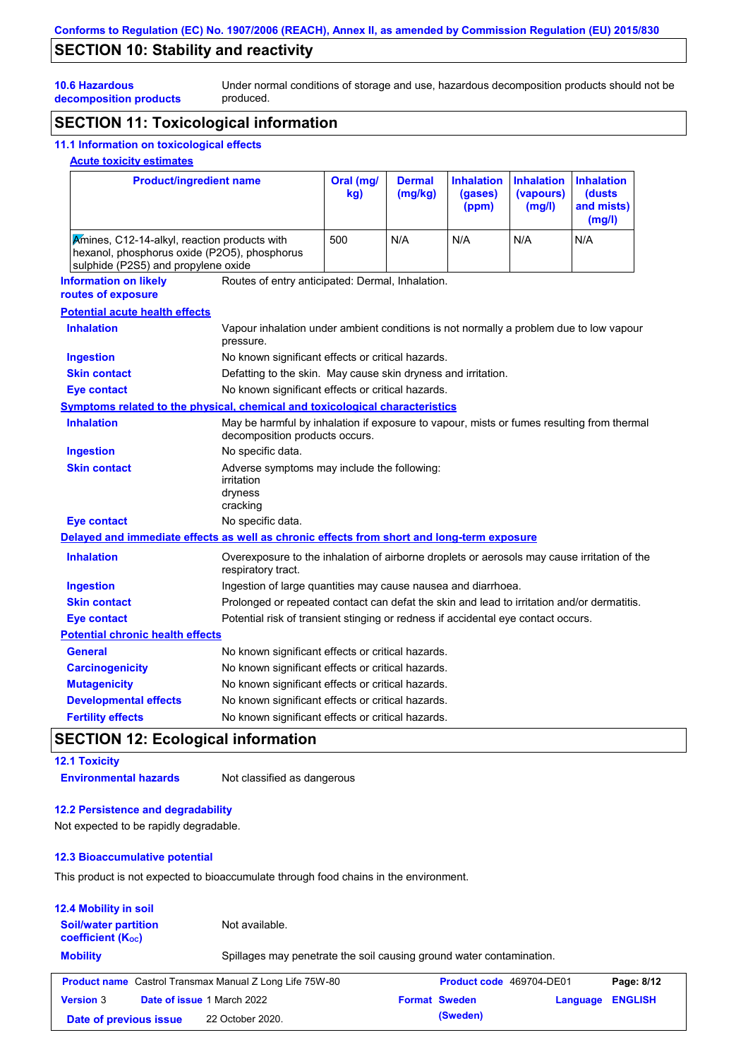## **SECTION 10: Stability and reactivity**

Under normal conditions of storage and use, hazardous decomposition products should not be produced.

## **decomposition products SECTION 11: Toxicological information**

### **11.1 Information on toxicological effects**

### **Acute toxicity estimates**

**10.6 Hazardous** 

| <b>Product/ingredient name</b>                                                                                                      |                                                                                                                             | Oral (mg/<br>kg) | <b>Dermal</b><br>(mg/kg) | <b>Inhalation</b><br>(gases)<br>(ppm) | <b>Inhalation</b><br>(vapours)<br>(mg/l) | <b>Inhalation</b><br>(dusts<br>and mists)<br>(mg/l) |
|-------------------------------------------------------------------------------------------------------------------------------------|-----------------------------------------------------------------------------------------------------------------------------|------------------|--------------------------|---------------------------------------|------------------------------------------|-----------------------------------------------------|
| Amines, C12-14-alkyl, reaction products with<br>hexanol, phosphorus oxide (P2O5), phosphorus<br>sulphide (P2S5) and propylene oxide |                                                                                                                             | 500              | N/A                      | N/A                                   | N/A                                      | N/A                                                 |
| <b>Information on likely</b><br>routes of exposure                                                                                  | Routes of entry anticipated: Dermal, Inhalation.                                                                            |                  |                          |                                       |                                          |                                                     |
| <b>Potential acute health effects</b>                                                                                               |                                                                                                                             |                  |                          |                                       |                                          |                                                     |
| <b>Inhalation</b>                                                                                                                   | Vapour inhalation under ambient conditions is not normally a problem due to low vapour<br>pressure.                         |                  |                          |                                       |                                          |                                                     |
| <b>Ingestion</b>                                                                                                                    | No known significant effects or critical hazards.                                                                           |                  |                          |                                       |                                          |                                                     |
| <b>Skin contact</b>                                                                                                                 | Defatting to the skin. May cause skin dryness and irritation.                                                               |                  |                          |                                       |                                          |                                                     |
| <b>Eye contact</b>                                                                                                                  | No known significant effects or critical hazards.                                                                           |                  |                          |                                       |                                          |                                                     |
| Symptoms related to the physical, chemical and toxicological characteristics                                                        |                                                                                                                             |                  |                          |                                       |                                          |                                                     |
| <b>Inhalation</b>                                                                                                                   | May be harmful by inhalation if exposure to vapour, mists or fumes resulting from thermal<br>decomposition products occurs. |                  |                          |                                       |                                          |                                                     |
| <b>Ingestion</b>                                                                                                                    | No specific data.                                                                                                           |                  |                          |                                       |                                          |                                                     |
| <b>Skin contact</b>                                                                                                                 | Adverse symptoms may include the following:<br>irritation<br>dryness<br>cracking                                            |                  |                          |                                       |                                          |                                                     |
| <b>Eye contact</b>                                                                                                                  | No specific data.                                                                                                           |                  |                          |                                       |                                          |                                                     |
| Delayed and immediate effects as well as chronic effects from short and long-term exposure                                          |                                                                                                                             |                  |                          |                                       |                                          |                                                     |
| <b>Inhalation</b>                                                                                                                   | Overexposure to the inhalation of airborne droplets or aerosols may cause irritation of the<br>respiratory tract.           |                  |                          |                                       |                                          |                                                     |
| <b>Ingestion</b>                                                                                                                    | Ingestion of large quantities may cause nausea and diarrhoea.                                                               |                  |                          |                                       |                                          |                                                     |
| <b>Skin contact</b>                                                                                                                 | Prolonged or repeated contact can defat the skin and lead to irritation and/or dermatitis.                                  |                  |                          |                                       |                                          |                                                     |
| <b>Eye contact</b>                                                                                                                  | Potential risk of transient stinging or redness if accidental eye contact occurs.                                           |                  |                          |                                       |                                          |                                                     |
| <b>Potential chronic health effects</b>                                                                                             |                                                                                                                             |                  |                          |                                       |                                          |                                                     |
| <b>General</b>                                                                                                                      | No known significant effects or critical hazards.                                                                           |                  |                          |                                       |                                          |                                                     |
| <b>Carcinogenicity</b>                                                                                                              | No known significant effects or critical hazards.                                                                           |                  |                          |                                       |                                          |                                                     |
| <b>Mutagenicity</b>                                                                                                                 | No known significant effects or critical hazards.                                                                           |                  |                          |                                       |                                          |                                                     |
| <b>Developmental effects</b>                                                                                                        | No known significant effects or critical hazards.                                                                           |                  |                          |                                       |                                          |                                                     |
| <b>Fertility effects</b>                                                                                                            | No known significant effects or critical hazards.                                                                           |                  |                          |                                       |                                          |                                                     |

## **SECTION 12: Ecological information**

### **12.1 Toxicity**

**Environmental hazards** Not classified as dangerous

### **12.2 Persistence and degradability**

Not expected to be rapidly degradable.

#### **12.3 Bioaccumulative potential**

This product is not expected to bioaccumulate through food chains in the environment.

| <b>12.4 Mobility in soil</b>                          |                            |                                                                      |                                 |          |                |
|-------------------------------------------------------|----------------------------|----------------------------------------------------------------------|---------------------------------|----------|----------------|
| <b>Soil/water partition</b><br>coefficient $(K_{oc})$ |                            | Not available.                                                       |                                 |          |                |
| <b>Mobility</b>                                       |                            | Spillages may penetrate the soil causing ground water contamination. |                                 |          |                |
|                                                       |                            |                                                                      |                                 |          |                |
|                                                       |                            | <b>Product name</b> Castrol Transmax Manual Z Long Life 75W-80       | <b>Product code</b> 469704-DE01 |          | Page: 8/12     |
| <b>Version 3</b>                                      | Date of issue 1 March 2022 |                                                                      | <b>Format Sweden</b>            | Language | <b>ENGLISH</b> |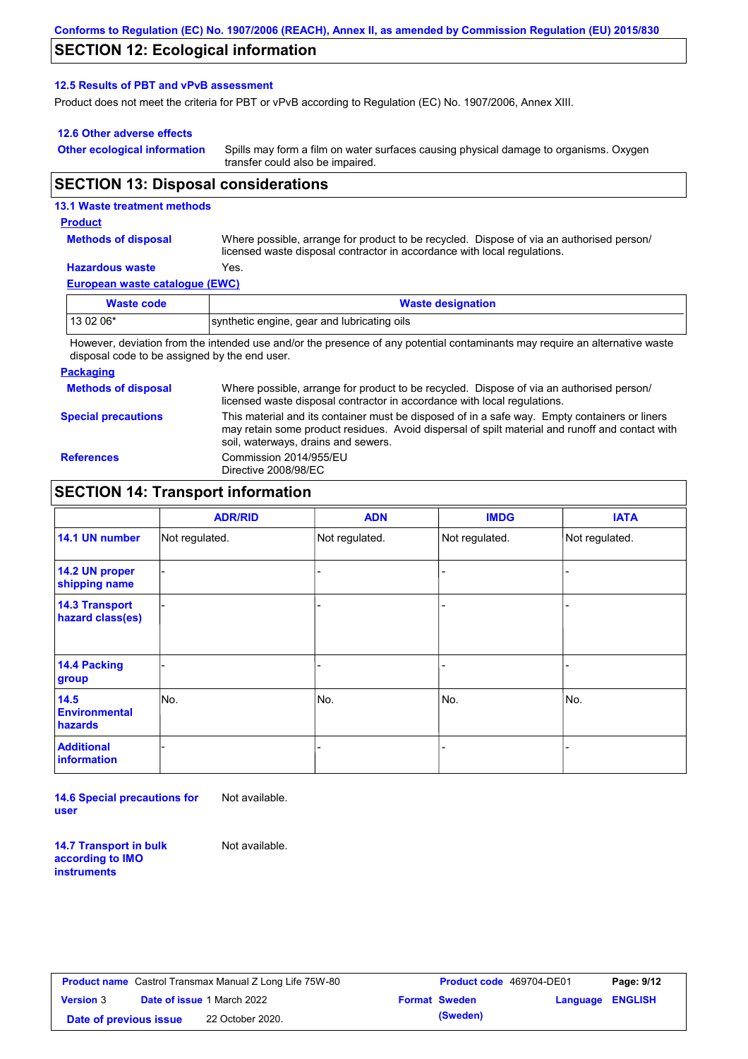### **SECTION 12: Ecological information**

#### **12.5 Results of PBT and vPvB assessment**

Product does not meet the criteria for PBT or vPvB according to Regulation (EC) No. 1907/2006, Annex XIII.

#### **12.6 Other adverse effects**

**Other ecological information**

Spills may form a film on water surfaces causing physical damage to organisms. Oxygen transfer could also be impaired.

### **SECTION 13: Disposal considerations**

#### **13.1 Waste treatment methods**

#### **Product**

**Methods of disposal**

Where possible, arrange for product to be recycled. Dispose of via an authorised person/ licensed waste disposal contractor in accordance with local regulations.

## **Hazardous waste** Yes.

|  | European waste catalogue (EWC) |  |  |  |
|--|--------------------------------|--|--|--|
|--|--------------------------------|--|--|--|

| Waste code | <b>Waste designation</b>                                                                                                    |
|------------|-----------------------------------------------------------------------------------------------------------------------------|
| $130206*$  | synthetic engine, gear and lubricating oils                                                                                 |
|            | However, deviation from the intended use and/or the presence of any potential contaminants may require an alternative waste |

r the presence or any potential contaminants may require an alternative wa disposal code to be assigned by the end user.

#### **Packaging**

**Methods of disposal Special precautions** Where possible, arrange for product to be recycled. Dispose of via an authorised person/ licensed waste disposal contractor in accordance with local regulations. This material and its container must be disposed of in a safe way. Empty containers or liners may retain some product residues. Avoid dispersal of spilt material and runoff and contact with soil, waterways, drains and sewers. **References** Commission 2014/955/EU Directive 2008/98/EC

### **SECTION 14: Transport information**

|                                           | <b>ADR/RID</b> | <b>ADN</b>     | <b>IMDG</b>    | <b>IATA</b>    |
|-------------------------------------------|----------------|----------------|----------------|----------------|
| 14.1 UN number                            | Not regulated. | Not regulated. | Not regulated. | Not regulated. |
| 14.2 UN proper<br>shipping name           |                |                |                |                |
| <b>14.3 Transport</b><br>hazard class(es) |                |                | -              |                |
| 14.4 Packing<br>group                     |                |                | -              |                |
| 14.5<br><b>Environmental</b><br>hazards   | No.            | No.            | No.            | No.            |
| <b>Additional</b><br><b>information</b>   |                |                | -              |                |

**14.6 Special precautions for user** Not available.

**14.7 Transport in bulk according to IMO instruments**

Not available.

|                        | <b>Product name</b> Castrol Transmax Manual Z Long Life 75W-80 | Product code 469704-DE01 |                         | Page: 9/12 |
|------------------------|----------------------------------------------------------------|--------------------------|-------------------------|------------|
| <b>Version</b> 3       | <b>Date of issue 1 March 2022</b>                              | <b>Format Sweden</b>     | <b>Language ENGLISH</b> |            |
| Date of previous issue | 22 October 2020.                                               | (Sweden)                 |                         |            |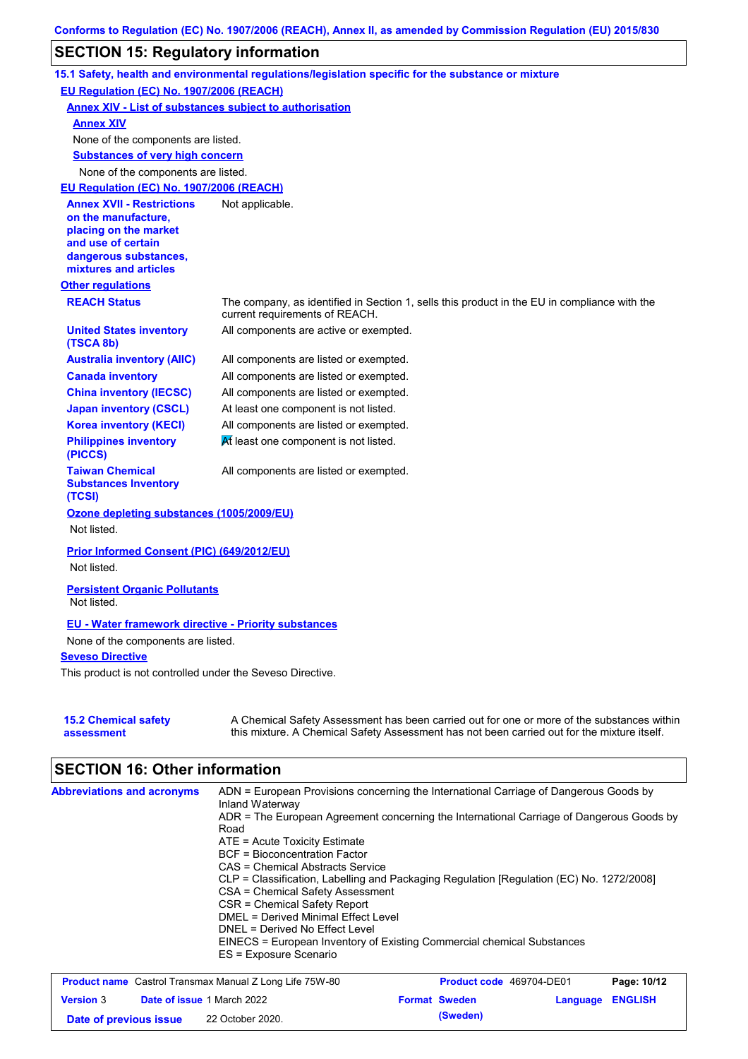## **SECTION 15: Regulatory information**

|                                                                                                                                                          | 15.1 Safety, health and environmental regulations/legislation specific for the substance or mixture                                                                                       |
|----------------------------------------------------------------------------------------------------------------------------------------------------------|-------------------------------------------------------------------------------------------------------------------------------------------------------------------------------------------|
| EU Regulation (EC) No. 1907/2006 (REACH)                                                                                                                 |                                                                                                                                                                                           |
| <b>Annex XIV - List of substances subject to authorisation</b>                                                                                           |                                                                                                                                                                                           |
| <b>Annex XIV</b>                                                                                                                                         |                                                                                                                                                                                           |
| None of the components are listed.                                                                                                                       |                                                                                                                                                                                           |
| <b>Substances of very high concern</b>                                                                                                                   |                                                                                                                                                                                           |
| None of the components are listed.                                                                                                                       |                                                                                                                                                                                           |
| EU Regulation (EC) No. 1907/2006 (REACH)                                                                                                                 |                                                                                                                                                                                           |
| <b>Annex XVII - Restrictions</b><br>on the manufacture,<br>placing on the market<br>and use of certain<br>dangerous substances,<br>mixtures and articles | Not applicable.                                                                                                                                                                           |
| <b>Other regulations</b>                                                                                                                                 |                                                                                                                                                                                           |
| <b>REACH Status</b>                                                                                                                                      | The company, as identified in Section 1, sells this product in the EU in compliance with the<br>current requirements of REACH.                                                            |
| <b>United States inventory</b><br>(TSCA 8b)                                                                                                              | All components are active or exempted.                                                                                                                                                    |
| <b>Australia inventory (AIIC)</b>                                                                                                                        | All components are listed or exempted.                                                                                                                                                    |
| <b>Canada inventory</b>                                                                                                                                  | All components are listed or exempted.                                                                                                                                                    |
| <b>China inventory (IECSC)</b>                                                                                                                           | All components are listed or exempted.                                                                                                                                                    |
| <b>Japan inventory (CSCL)</b>                                                                                                                            | At least one component is not listed.                                                                                                                                                     |
| <b>Korea inventory (KECI)</b>                                                                                                                            | All components are listed or exempted.                                                                                                                                                    |
| <b>Philippines inventory</b><br>(PICCS)                                                                                                                  | At least one component is not listed.                                                                                                                                                     |
| <b>Taiwan Chemical</b><br><b>Substances Inventory</b><br>(TCSI)                                                                                          | All components are listed or exempted.                                                                                                                                                    |
| Ozone depleting substances (1005/2009/EU)<br>Not listed.                                                                                                 |                                                                                                                                                                                           |
| Prior Informed Consent (PIC) (649/2012/EU)                                                                                                               |                                                                                                                                                                                           |
| Not listed.                                                                                                                                              |                                                                                                                                                                                           |
| <b>Persistent Organic Pollutants</b><br>Not listed.                                                                                                      |                                                                                                                                                                                           |
| <b>EU - Water framework directive - Priority substances</b><br>None of the components are listed.                                                        |                                                                                                                                                                                           |
| <b>Seveso Directive</b>                                                                                                                                  |                                                                                                                                                                                           |
| This product is not controlled under the Seveso Directive.                                                                                               |                                                                                                                                                                                           |
| <b>15.2 Chemical safety</b><br>assessment                                                                                                                | A Chemical Safety Assessment has been carried out for one or more of the substances within<br>this mixture. A Chemical Safety Assessment has not been carried out for the mixture itself. |

# **SECTION 16: Other information**

| <b>Abbreviations and acronyms</b> | ADN = European Provisions concerning the International Carriage of Dangerous Goods by<br>Inland Waterway |
|-----------------------------------|----------------------------------------------------------------------------------------------------------|
|                                   | ADR = The European Agreement concerning the International Carriage of Dangerous Goods by                 |
|                                   | Road                                                                                                     |
|                                   | $ATE =$ Acute Toxicity Estimate                                                                          |
|                                   | <b>BCF</b> = Bioconcentration Factor                                                                     |
|                                   | CAS = Chemical Abstracts Service                                                                         |
|                                   | CLP = Classification, Labelling and Packaging Regulation [Regulation (EC) No. 1272/2008]                 |
|                                   | CSA = Chemical Safety Assessment                                                                         |
|                                   | CSR = Chemical Safety Report                                                                             |
|                                   | DMEL = Derived Minimal Effect Level                                                                      |
|                                   | DNEL = Derived No Effect Level                                                                           |
|                                   | EINECS = European Inventory of Existing Commercial chemical Substances                                   |
|                                   | ES = Exposure Scenario                                                                                   |

| <b>Product name</b> Castrol Transmax Manual Z Long Life 75W-80 |  |                                   | <b>Product code</b> 469704-DE01 | Page: 10/12          |                  |  |
|----------------------------------------------------------------|--|-----------------------------------|---------------------------------|----------------------|------------------|--|
| <b>Version</b> 3                                               |  | <b>Date of issue 1 March 2022</b> |                                 | <b>Format Sweden</b> | Language ENGLISH |  |
| Date of previous issue                                         |  | 22 October 2020.                  |                                 | (Sweden)             |                  |  |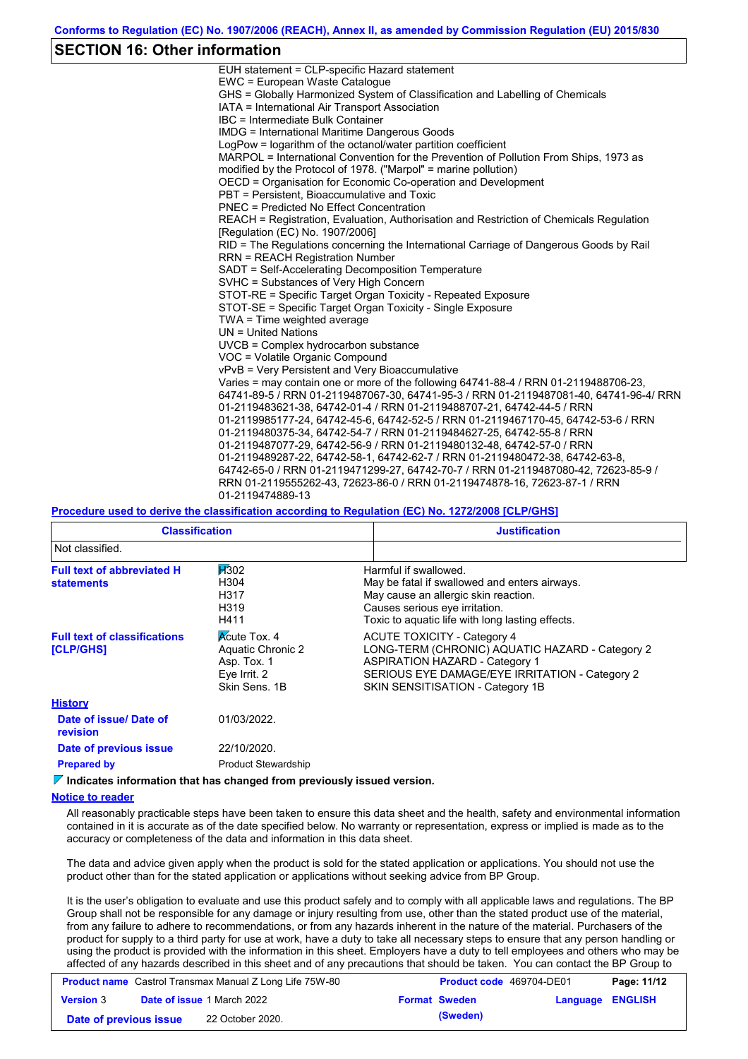### **SECTION 16: Other information**

| EUH statement = CLP-specific Hazard statement                                           |
|-----------------------------------------------------------------------------------------|
| EWC = European Waste Catalogue                                                          |
| GHS = Globally Harmonized System of Classification and Labelling of Chemicals           |
| IATA = International Air Transport Association                                          |
| IBC = Intermediate Bulk Container                                                       |
| <b>IMDG = International Maritime Dangerous Goods</b>                                    |
| LogPow = logarithm of the octanol/water partition coefficient                           |
| MARPOL = International Convention for the Prevention of Pollution From Ships, 1973 as   |
| modified by the Protocol of 1978. ("Marpol" = marine pollution)                         |
| OECD = Organisation for Economic Co-operation and Development                           |
| PBT = Persistent, Bioaccumulative and Toxic                                             |
| PNEC = Predicted No Effect Concentration                                                |
| REACH = Registration, Evaluation, Authorisation and Restriction of Chemicals Regulation |
| [Requlation (EC) No. 1907/2006]                                                         |
| RID = The Regulations concerning the International Carriage of Dangerous Goods by Rail  |
| <b>RRN = REACH Registration Number</b>                                                  |
| SADT = Self-Accelerating Decomposition Temperature                                      |
| SVHC = Substances of Very High Concern                                                  |
| STOT-RE = Specific Target Organ Toxicity - Repeated Exposure                            |
| STOT-SE = Specific Target Organ Toxicity - Single Exposure                              |
| TWA = Time weighted average                                                             |
| $UN = United Nations$                                                                   |
| $UVCB = Complex\;hydrocarbon\; substance$                                               |
| VOC = Volatile Organic Compound                                                         |
| vPvB = Very Persistent and Very Bioaccumulative                                         |
| Varies = may contain one or more of the following 64741-88-4 / RRN 01-2119488706-23.    |
| 64741-89-5 / RRN 01-2119487067-30, 64741-95-3 / RRN 01-2119487081-40, 64741-96-4/ RRN   |
| 01-2119483621-38, 64742-01-4 / RRN 01-2119488707-21, 64742-44-5 / RRN                   |
| 01-2119985177-24, 64742-45-6, 64742-52-5 / RRN 01-2119467170-45, 64742-53-6 / RRN       |
| 01-2119480375-34, 64742-54-7 / RRN 01-2119484627-25, 64742-55-8 / RRN                   |
| 01-2119487077-29, 64742-56-9 / RRN 01-2119480132-48, 64742-57-0 / RRN                   |
| 01-2119489287-22, 64742-58-1, 64742-62-7 / RRN 01-2119480472-38, 64742-63-8,            |
| 64742-65-0 / RRN 01-2119471299-27, 64742-70-7 / RRN 01-2119487080-42, 72623-85-9 /      |
| RRN 01-2119555262-43, 72623-86-0 / RRN 01-2119474878-16, 72623-87-1 / RRN               |
| 01-2119474889-13                                                                        |

#### **Procedure used to derive the classification according to Regulation (EC) No. 1272/2008 [CLP/GHS]**

| <b>Classification</b>                                                                          |                                                                                          | <b>Justification</b>                                                                                                                                                                                                 |
|------------------------------------------------------------------------------------------------|------------------------------------------------------------------------------------------|----------------------------------------------------------------------------------------------------------------------------------------------------------------------------------------------------------------------|
| Not classified.                                                                                |                                                                                          |                                                                                                                                                                                                                      |
| H302<br><b>Full text of abbreviated H</b><br>H304<br><b>statements</b><br>H317<br>H319<br>H411 |                                                                                          | Harmful if swallowed.<br>May be fatal if swallowed and enters airways.<br>May cause an allergic skin reaction.<br>Causes serious eye irritation.<br>Toxic to aquatic life with long lasting effects.                 |
| <b>Full text of classifications</b><br>[CLP/GHS]                                               | <b>Acute Tox. 4</b><br>Aquatic Chronic 2<br>Asp. Tox. 1<br>Eye Irrit. 2<br>Skin Sens, 1B | <b>ACUTE TOXICITY - Category 4</b><br>LONG-TERM (CHRONIC) AQUATIC HAZARD - Category 2<br><b>ASPIRATION HAZARD - Category 1</b><br>SERIOUS EYE DAMAGE/EYE IRRITATION - Category 2<br>SKIN SENSITISATION - Category 1B |
| <b>History</b>                                                                                 |                                                                                          |                                                                                                                                                                                                                      |
| Date of issue/ Date of<br>revision                                                             | 01/03/2022.                                                                              |                                                                                                                                                                                                                      |
| Date of previous issue                                                                         | 22/10/2020.                                                                              |                                                                                                                                                                                                                      |

**Prepared by Product Stewardship** 

**Indicates information that has changed from previously issued version.**

#### **Notice to reader**

All reasonably practicable steps have been taken to ensure this data sheet and the health, safety and environmental information contained in it is accurate as of the date specified below. No warranty or representation, express or implied is made as to the accuracy or completeness of the data and information in this data sheet.

The data and advice given apply when the product is sold for the stated application or applications. You should not use the product other than for the stated application or applications without seeking advice from BP Group.

It is the user's obligation to evaluate and use this product safely and to comply with all applicable laws and regulations. The BP Group shall not be responsible for any damage or injury resulting from use, other than the stated product use of the material, from any failure to adhere to recommendations, or from any hazards inherent in the nature of the material. Purchasers of the product for supply to a third party for use at work, have a duty to take all necessary steps to ensure that any person handling or using the product is provided with the information in this sheet. Employers have a duty to tell employees and others who may be affected of any hazards described in this sheet and of any precautions that should be taken. You can contact the BP Group to

| <b>Product name</b> Castrol Transmax Manual Z Long Life 75W-80 |  |                                   |  | <b>Product code</b> 469704-DE01<br>Page: 11/12 |                  |  |
|----------------------------------------------------------------|--|-----------------------------------|--|------------------------------------------------|------------------|--|
| <b>Version 3</b>                                               |  | <b>Date of issue 1 March 2022</b> |  | <b>Format Sweden</b>                           | Language ENGLISH |  |
| Date of previous issue                                         |  | 22 October 2020.                  |  | (Sweden)                                       |                  |  |